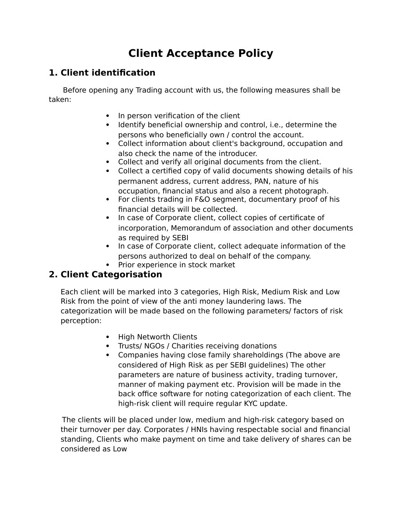## **Client Acceptance Policy**

## **1. Client identification**

 Before opening any Trading account with us, the following measures shall be taken:

- In person verification of the client
- Identify beneficial ownership and control, i.e., determine the persons who beneficially own / control the account.
- Collect information about client's background, occupation and also check the name of the introducer.
- Collect and verify all original documents from the client.
- Collect a certified copy of valid documents showing details of his permanent address, current address, PAN, nature of his occupation, financial status and also a recent photograph.
- For clients trading in F&O segment, documentary proof of his financial details will be collected.
- In case of Corporate client, collect copies of certificate of incorporation, Memorandum of association and other documents as required by SEBI
- In case of Corporate client, collect adequate information of the persons authorized to deal on behalf of the company.
- Prior experience in stock market

## **2. Client Categorisation**

Each client will be marked into 3 categories, High Risk, Medium Risk and Low Risk from the point of view of the anti money laundering laws. The categorization will be made based on the following parameters/ factors of risk perception:

- High Networth Clients
- Trusts/ NGOs / Charities receiving donations
- Companies having close family shareholdings (The above are considered of High Risk as per SEBI guidelines) The other parameters are nature of business activity, trading turnover, manner of making payment etc. Provision will be made in the back office software for noting categorization of each client. The high-risk client will require regular KYC update.

The clients will be placed under low, medium and high-risk category based on their turnover per day. Corporates / HNIs having respectable social and financial standing, Clients who make payment on time and take delivery of shares can be considered as Low